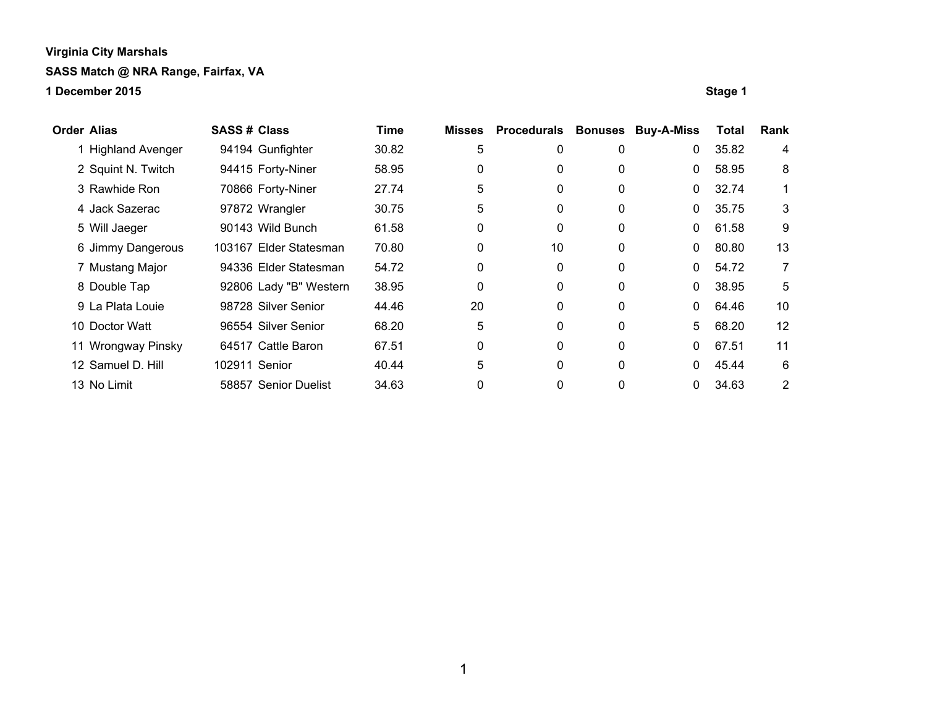**1 December 2015 Stage 1**

**Order Alias SASS # Class Time Misses Procedurals Bonuses Buy-A-Miss Total Rank** 1 Highland Avenger 94194 Gunfighter 30.82 5 0 0 0 35.82 4 2 Squint N. Twitch 94415 Forty-Niner 58.95 0 0 0 0 58.95 8 3 Rawhide Ron 70866 Forty-Niner 27.74 5 0 0 0 32.74 1 4 Jack Sazerac **97872 Wrangler** 30.75 5 0 0 0 35.75 3 5 Will Jaeger 90143 Wild Bunch 61.58 0 0 0 0 61.58 9 6 Jimmy Dangerous 103167 Elder Statesman 70.80 0 10 0 0 80.80 13 7 Mustang Major 94336 Elder Statesman 54.72 0 0 0 0 54.72 7 8 Double Tap **92806 Lady "B" Western 38.95** 0 0 0 0 0 38.95 5 9 La Plata Louie 98728 Silver Senior 44.46 20 0 0 0 64.46 10 10 Doctor Watt 96554 Silver Senior 68.20 5 0 0 5 68.20 12 11 Wrongway Pinsky 64517 Cattle Baron 67.51 0 0 0 0 0 67.51 11 12 Samuel D. Hill 102911 Senior 40.44 5 0 0 0 45.44 6 13 No Limit 58857 Senior Duelist 34.63 0 0 0 0 34.63 2

1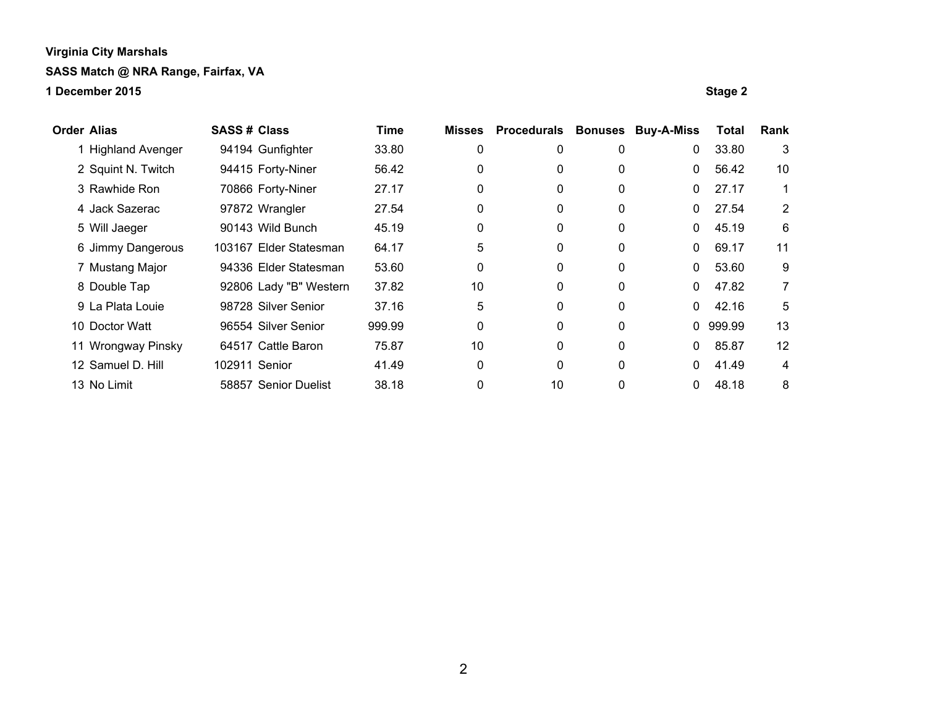**1 December 2015 Stage 2**

**Order Alias SASS # Class Time Misses Procedurals Bonuses Buy-A-Miss Total Rank** 1 Highland Avenger 94194 Gunfighter 33.80 0 0 0 0 33.80 3 2 Squint N. Twitch 94415 Forty-Niner 56.42 0 0 0 0 0 56.42 10 3 Rawhide Ron 70866 Forty-Niner 27.17 0 0 0 0 27.17 1 4 Jack Sazerac **97872 Wrangler** 27.54 0 0 0 0 0 27.54 2 5 Will Jaeger 90143 Wild Bunch 45.19 0 0 0 0 45.19 6 6 Jimmy Dangerous 103167 Elder Statesman 64.17 5 0 0 0 69.17 11 7 Mustang Major 94336 Elder Statesman 53.60 0 0 0 0 53.60 9 8 Double Tap 32806 Lady "B" Western 37.82 10 0 0 0 47.82 7 9 La Plata Louie **98728 Silver Senior** 37.16 5 0 0 0 0 42.16 5 10 Doctor Watt 96554 Silver Senior 999.99 0 0 0 0 999.99 13 11 Wrongway Pinsky 64517 Cattle Baron 75.87 10 0 0 0 0 85.87 12 12 Samuel D. Hill 102911 Senior 41.49 0 0 0 0 41.49 4 13 No Limit 58857 Senior Duelist 38.18 0 10 0 0 48.18 8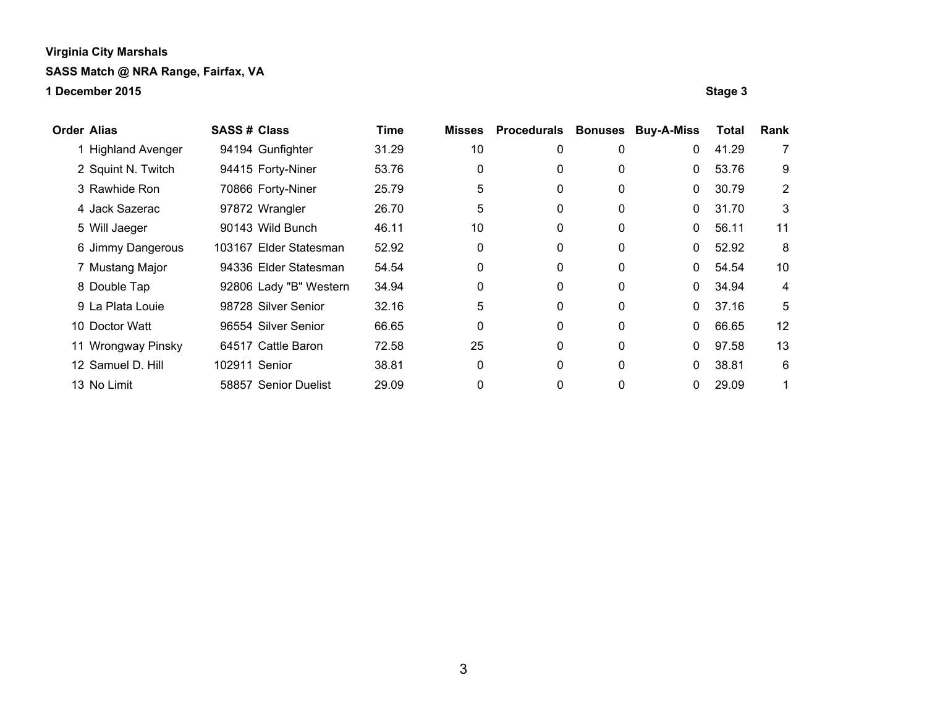**1 December 2015 Stage 3**

**Order Alias SASS # Class Time Misses Procedurals Bonuses Buy-A-Miss Total Rank** 1 Highland Avenger 94194 Gunfighter 31.29 10 0 0 0 41.29 7 2 Squint N. Twitch 94415 Forty-Niner 53.76 0 0 0 0 0 53.76 9 3 Rawhide Ron 70866 Forty-Niner 25.79 5 0 0 0 30.79 2 4 Jack Sazerac **97872 Wrangler** 26.70 5 0 0 0 31.70 3 5 Will Jaeger **90143 Wild Bunch** 46.11 10 0 0 0 56.11 11 6 Jimmy Dangerous 103167 Elder Statesman 52.92 0 0 0 0 0 52.92 8 7 Mustang Major 94336 Elder Statesman 54.54 0 0 0 0 54.54 10 8 Double Tap **92806 Lady "B" Western 34.94** 0 0 0 0 0 34.94 4 9 La Plata Louie 98728 Silver Senior 32.16 5 0 0 0 37.16 5 10 Doctor Watt 96554 Silver Senior 66.65 0 0 0 0 66.65 12 11 Wrongway Pinsky 64517 Cattle Baron 72.58 25 0 0 0 97.58 13 12 Samuel D. Hill 102911 Senior 38.81 0 0 0 0 38.81 6 13 No Limit **58857** Senior Duelist 29.09 0 0 0 0 0 29.09 1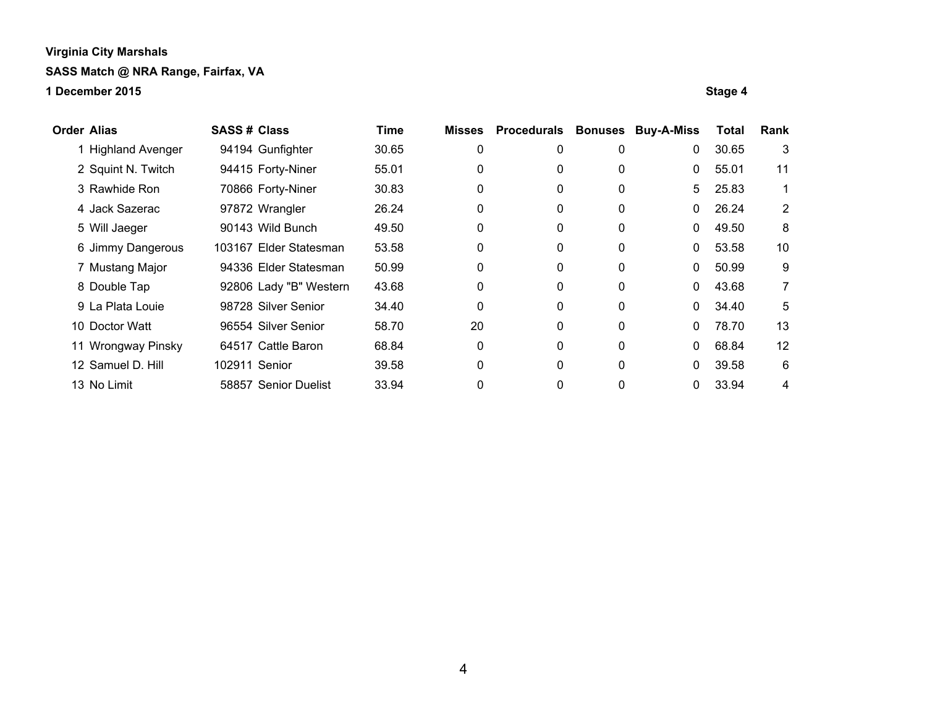**1 December 2015 Stage 4**

**Order Alias SASS # Class Time Misses Procedurals Bonuses Buy-A-Miss Total Rank** 1 Highland Avenger 94194 Gunfighter 30.65 0 0 0 0 30.65 3 2 Squint N. Twitch 94415 Forty-Niner 55.01 0 0 0 0 0 0 55.01 11 3 Rawhide Ron 70866 Forty-Niner 30.83 0 0 0 5 25.83 1 4 Jack Sazerac **97872 Wrangler** 26.24 0 0 0 0 0 26.24 2 5 Will Jaeger **90143 Wild Bunch 49.50** 0 0 0 0 49.50 8 6 Jimmy Dangerous 103167 Elder Statesman 53.58 0 0 0 0 53.58 10 7 Mustang Major 94336 Elder Statesman 50.99 0 0 0 0 50.99 9 8 Double Tap 92806 Lady "B" Western 43.68 0 0 0 0 43.68 7 9 La Plata Louie 98728 Silver Senior 34.40 0 0 0 0 34.40 5 10 Doctor Watt 96554 Silver Senior 58.70 20 0 0 0 78.70 13 11 Wrongway Pinsky 64517 Cattle Baron 68.84 0 0 0 0 0 68.84 12 12 Samuel D. Hill 102911 Senior 39.58 0 0 0 0 0 39.58 6 13 No Limit **58857** Senior Duelist 33.94 0 0 0 0 0 33.94 4